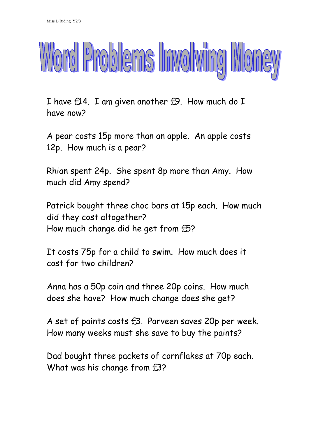

I have £14. I am given another £9. How much do I have now?

A pear costs 15p more than an apple. An apple costs 12p. How much is a pear?

Rhian spent 24p. She spent 8p more than Amy. How much did Amy spend?

Patrick bought three choc bars at 15p each. How much did they cost altogether? How much change did he get from £5?

It costs 75p for a child to swim. How much does it cost for two children?

Anna has a 50p coin and three 20p coins. How much does she have? How much change does she get?

A set of paints costs £3. Parveen saves 20p per week. How many weeks must she save to buy the paints?

Dad bought three packets of cornflakes at 70p each. What was his change from £3?